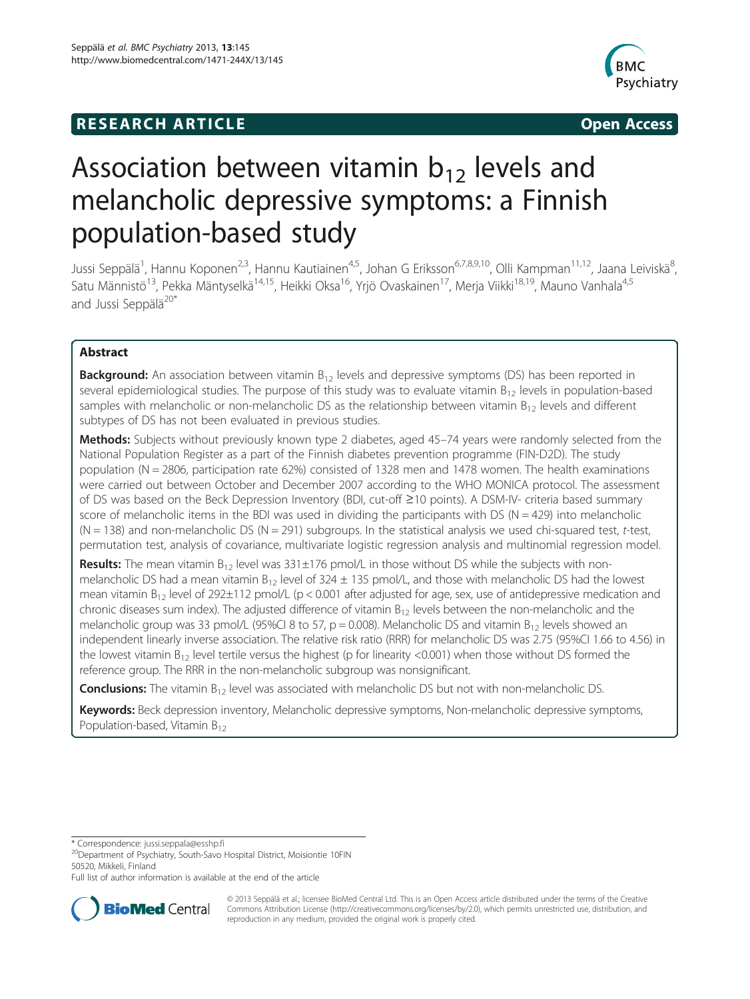# **RESEARCH ARTICLE Example 2014 CONSIDERING CONSIDERING CONSIDERING CONSIDERING CONSIDERING CONSIDERING CONSIDERING CONSIDERING CONSIDERING CONSIDERING CONSIDERING CONSIDERING CONSIDERING CONSIDERING CONSIDERING CONSIDE**



# Association between vitamin  $b_{12}$  levels and melancholic depressive symptoms: a Finnish population-based study

Jussi Seppälä<sup>1</sup>, Hannu Koponen<sup>2,3</sup>, Hannu Kautiainen<sup>4,5</sup>, Johan G Eriksson<sup>6,7,8,9,10</sup>, Olli Kampman<sup>11,12</sup>, Jaana Leiviskä<sup>8</sup> , Satu Männistö<sup>13</sup>, Pekka Mäntyselkä<sup>14,15</sup>, Heikki Oksa<sup>16</sup>, Yrjö Ovaskainen<sup>17</sup>, Merja Viikki<sup>18,19</sup>, Mauno Vanhala<sup>4,5</sup> and Jussi Seppälä<sup>20\*</sup>

# Abstract

**Background:** An association between vitamin  $B_{12}$  levels and depressive symptoms (DS) has been reported in several epidemiological studies. The purpose of this study was to evaluate vitamin  $B_{12}$  levels in population-based samples with melancholic or non-melancholic DS as the relationship between vitamin  $B_{12}$  levels and different subtypes of DS has not been evaluated in previous studies.

Methods: Subjects without previously known type 2 diabetes, aged 45-74 years were randomly selected from the National Population Register as a part of the Finnish diabetes prevention programme (FIN-D2D). The study population (N = 2806, participation rate 62%) consisted of 1328 men and 1478 women. The health examinations were carried out between October and December 2007 according to the WHO MONICA protocol. The assessment of DS was based on the Beck Depression Inventory (BDI, cut-off ≥10 points). A DSM-IV- criteria based summary score of melancholic items in the BDI was used in dividing the participants with DS ( $N = 429$ ) into melancholic  $(N = 138)$  and non-melancholic DS  $(N = 291)$  subgroups. In the statistical analysis we used chi-squared test, t-test, permutation test, analysis of covariance, multivariate logistic regression analysis and multinomial regression model.

**Results:** The mean vitamin  $B_{12}$  level was 331±176 pmol/L in those without DS while the subjects with nonmelancholic DS had a mean vitamin  $B_{12}$  level of 324  $\pm$  135 pmol/L, and those with melancholic DS had the lowest mean vitamin  $B_{12}$  level of 292 $\pm$ 112 pmol/L (p < 0.001 after adjusted for age, sex, use of antidepressive medication and chronic diseases sum index). The adjusted difference of vitamin  $B_{12}$  levels between the non-melancholic and the melancholic group was 33 pmol/L (95%CI 8 to 57, p = 0.008). Melancholic DS and vitamin  $B_{12}$  levels showed an independent linearly inverse association. The relative risk ratio (RRR) for melancholic DS was 2.75 (95%CI 1.66 to 4.56) in the lowest vitamin  $B_{12}$  level tertile versus the highest (p for linearity <0.001) when those without DS formed the reference group. The RRR in the non-melancholic subgroup was nonsignificant.

**Conclusions:** The vitamin  $B_{12}$  level was associated with melancholic DS but not with non-melancholic DS.

Keywords: Beck depression inventory, Melancholic depressive symptoms, Non-melancholic depressive symptoms, Population-based, Vitamin B<sub>12</sub>

Full list of author information is available at the end of the article



© 2013 Seppälä et al.; licensee BioMed Central Ltd. This is an Open Access article distributed under the terms of the Creative Commons Attribution License [\(http://creativecommons.org/licenses/by/2.0\)](http://creativecommons.org/licenses/by/2.0), which permits unrestricted use, distribution, and reproduction in any medium, provided the original work is properly cited.

<sup>\*</sup> Correspondence: [jussi.seppala@esshp.fi](mailto:jussi.seppala@esshp.fi) 20Department of Psychiatry, South-Savo Hospital District, Moisiontie 10FIN 50520, Mikkeli, Finland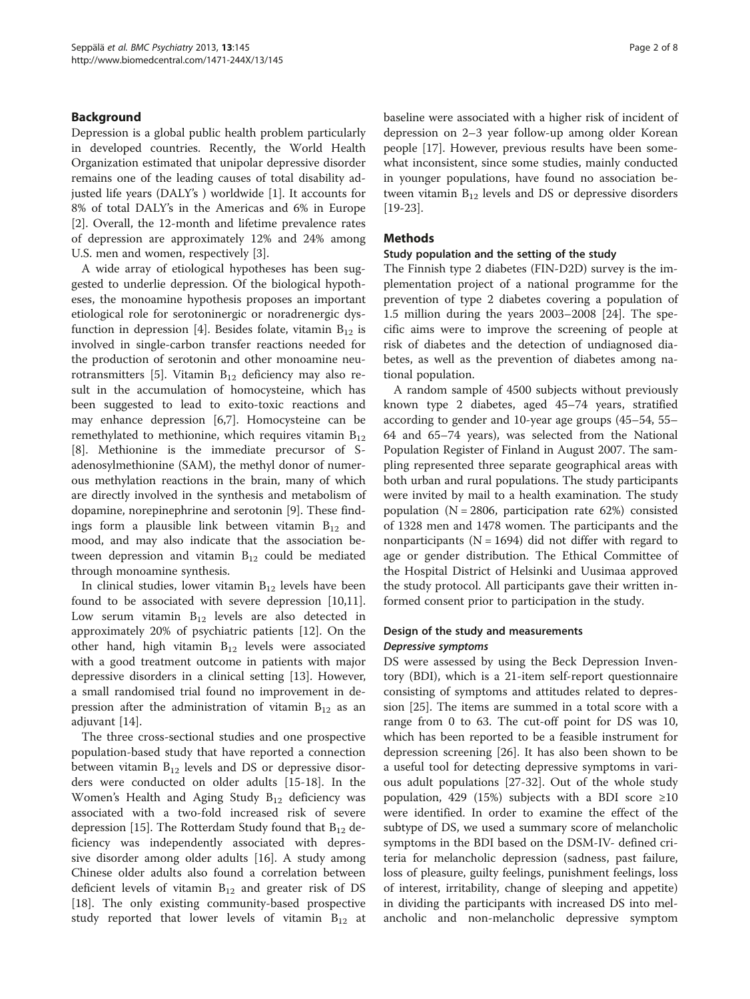# Background

Depression is a global public health problem particularly in developed countries. Recently, the World Health Organization estimated that unipolar depressive disorder remains one of the leading causes of total disability adjusted life years (DALY's ) worldwide [\[1](#page-6-0)]. It accounts for 8% of total DALY's in the Americas and 6% in Europe [[2\]](#page-6-0). Overall, the 12-month and lifetime prevalence rates of depression are approximately 12% and 24% among U.S. men and women, respectively [[3\]](#page-6-0).

A wide array of etiological hypotheses has been suggested to underlie depression. Of the biological hypotheses, the monoamine hypothesis proposes an important etiological role for serotoninergic or noradrenergic dys-function in depression [[4\]](#page-6-0). Besides folate, vitamin  $B_{12}$  is involved in single-carbon transfer reactions needed for the production of serotonin and other monoamine neu-rotransmitters [\[5](#page-6-0)]. Vitamin  $B_{12}$  deficiency may also result in the accumulation of homocysteine, which has been suggested to lead to exito-toxic reactions and may enhance depression [[6](#page-6-0),[7\]](#page-6-0). Homocysteine can be remethylated to methionine, which requires vitamin  $B_{12}$ [[8\]](#page-6-0). Methionine is the immediate precursor of Sadenosylmethionine (SAM), the methyl donor of numerous methylation reactions in the brain, many of which are directly involved in the synthesis and metabolism of dopamine, norepinephrine and serotonin [[9\]](#page-6-0). These findings form a plausible link between vitamin  $B_{12}$  and mood, and may also indicate that the association between depression and vitamin  $B_{12}$  could be mediated through monoamine synthesis.

In clinical studies, lower vitamin  $B_{12}$  levels have been found to be associated with severe depression [\[10,11](#page-6-0)]. Low serum vitamin  $B_{12}$  levels are also detected in approximately 20% of psychiatric patients [[12](#page-6-0)]. On the other hand, high vitamin  $B_{12}$  levels were associated with a good treatment outcome in patients with major depressive disorders in a clinical setting [\[13\]](#page-6-0). However, a small randomised trial found no improvement in depression after the administration of vitamin  $B_{12}$  as an adjuvant [[14](#page-6-0)].

The three cross-sectional studies and one prospective population-based study that have reported a connection between vitamin  $B_{12}$  levels and DS or depressive disorders were conducted on older adults [\[15-18](#page-6-0)]. In the Women's Health and Aging Study  $B_{12}$  deficiency was associated with a two-fold increased risk of severe depression [\[15](#page-6-0)]. The Rotterdam Study found that  $B_{12}$  deficiency was independently associated with depressive disorder among older adults [[16\]](#page-6-0). A study among Chinese older adults also found a correlation between deficient levels of vitamin  $B_{12}$  and greater risk of DS [[18\]](#page-6-0). The only existing community-based prospective study reported that lower levels of vitamin  $B_{12}$  at baseline were associated with a higher risk of incident of depression on 2–3 year follow-up among older Korean people [[17](#page-6-0)]. However, previous results have been somewhat inconsistent, since some studies, mainly conducted in younger populations, have found no association between vitamin  $B_{12}$  levels and DS or depressive disorders [[19-23](#page-6-0)].

# Methods

# Study population and the setting of the study

The Finnish type 2 diabetes (FIN-D2D) survey is the implementation project of a national programme for the prevention of type 2 diabetes covering a population of 1.5 million during the years 2003–2008 [\[24](#page-6-0)]. The specific aims were to improve the screening of people at risk of diabetes and the detection of undiagnosed diabetes, as well as the prevention of diabetes among national population.

A random sample of 4500 subjects without previously known type 2 diabetes, aged 45–74 years, stratified according to gender and 10-year age groups (45–54, 55– 64 and 65–74 years), was selected from the National Population Register of Finland in August 2007. The sampling represented three separate geographical areas with both urban and rural populations. The study participants were invited by mail to a health examination. The study population (N = 2806, participation rate 62%) consisted of 1328 men and 1478 women. The participants and the nonparticipants ( $N = 1694$ ) did not differ with regard to age or gender distribution. The Ethical Committee of the Hospital District of Helsinki and Uusimaa approved the study protocol. All participants gave their written informed consent prior to participation in the study.

# Design of the study and measurements Depressive symptoms

DS were assessed by using the Beck Depression Inventory (BDI), which is a 21-item self-report questionnaire consisting of symptoms and attitudes related to depression [\[25](#page-6-0)]. The items are summed in a total score with a range from 0 to 63. The cut-off point for DS was 10, which has been reported to be a feasible instrument for depression screening [[26\]](#page-6-0). It has also been shown to be a useful tool for detecting depressive symptoms in various adult populations [\[27](#page-6-0)-[32](#page-7-0)]. Out of the whole study population, 429 (15%) subjects with a BDI score  $\geq 10$ were identified. In order to examine the effect of the subtype of DS, we used a summary score of melancholic symptoms in the BDI based on the DSM-IV- defined criteria for melancholic depression (sadness, past failure, loss of pleasure, guilty feelings, punishment feelings, loss of interest, irritability, change of sleeping and appetite) in dividing the participants with increased DS into melancholic and non-melancholic depressive symptom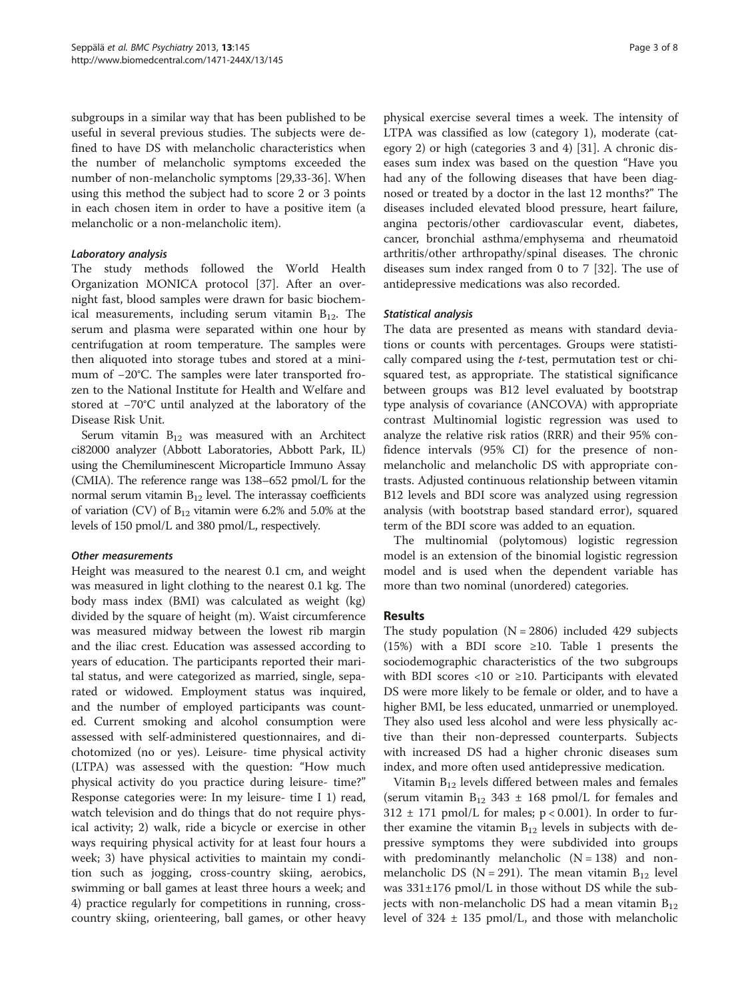subgroups in a similar way that has been published to be useful in several previous studies. The subjects were defined to have DS with melancholic characteristics when the number of melancholic symptoms exceeded the number of non-melancholic symptoms [\[29](#page-6-0)[,33-36](#page-7-0)]. When using this method the subject had to score 2 or 3 points in each chosen item in order to have a positive item (a melancholic or a non-melancholic item).

# Laboratory analysis

The study methods followed the World Health Organization MONICA protocol [\[37](#page-7-0)]. After an overnight fast, blood samples were drawn for basic biochemical measurements, including serum vitamin  $B_{12}$ . The serum and plasma were separated within one hour by centrifugation at room temperature. The samples were then aliquoted into storage tubes and stored at a minimum of −20°C. The samples were later transported frozen to the National Institute for Health and Welfare and stored at −70°C until analyzed at the laboratory of the Disease Risk Unit.

Serum vitamin  $B_{12}$  was measured with an Architect ci82000 analyzer (Abbott Laboratories, Abbott Park, IL) using the Chemiluminescent Microparticle Immuno Assay (CMIA). The reference range was 138–652 pmol/L for the normal serum vitamin  $B_{12}$  level. The interassay coefficients of variation (CV) of  $B_{12}$  vitamin were 6.2% and 5.0% at the levels of 150 pmol/L and 380 pmol/L, respectively.

# Other measurements

Height was measured to the nearest 0.1 cm, and weight was measured in light clothing to the nearest 0.1 kg. The body mass index (BMI) was calculated as weight (kg) divided by the square of height (m). Waist circumference was measured midway between the lowest rib margin and the iliac crest. Education was assessed according to years of education. The participants reported their marital status, and were categorized as married, single, separated or widowed. Employment status was inquired, and the number of employed participants was counted. Current smoking and alcohol consumption were assessed with self-administered questionnaires, and dichotomized (no or yes). Leisure- time physical activity (LTPA) was assessed with the question: "How much physical activity do you practice during leisure- time?" Response categories were: In my leisure- time I 1) read, watch television and do things that do not require physical activity; 2) walk, ride a bicycle or exercise in other ways requiring physical activity for at least four hours a week; 3) have physical activities to maintain my condition such as jogging, cross-country skiing, aerobics, swimming or ball games at least three hours a week; and 4) practice regularly for competitions in running, crosscountry skiing, orienteering, ball games, or other heavy

physical exercise several times a week. The intensity of LTPA was classified as low (category 1), moderate (category 2) or high (categories 3 and 4) [\[31](#page-6-0)]. A chronic diseases sum index was based on the question "Have you had any of the following diseases that have been diagnosed or treated by a doctor in the last 12 months?" The diseases included elevated blood pressure, heart failure, angina pectoris/other cardiovascular event, diabetes, cancer, bronchial asthma/emphysema and rheumatoid arthritis/other arthropathy/spinal diseases. The chronic diseases sum index ranged from 0 to 7 [[32\]](#page-7-0). The use of antidepressive medications was also recorded.

# Statistical analysis

The data are presented as means with standard deviations or counts with percentages. Groups were statistically compared using the t-test, permutation test or chisquared test, as appropriate. The statistical significance between groups was B12 level evaluated by bootstrap type analysis of covariance (ANCOVA) with appropriate contrast Multinomial logistic regression was used to analyze the relative risk ratios (RRR) and their 95% confidence intervals (95% CI) for the presence of nonmelancholic and melancholic DS with appropriate contrasts. Adjusted continuous relationship between vitamin B12 levels and BDI score was analyzed using regression analysis (with bootstrap based standard error), squared term of the BDI score was added to an equation.

The multinomial (polytomous) logistic regression model is an extension of the binomial logistic regression model and is used when the dependent variable has more than two nominal (unordered) categories.

# Results

The study population  $(N = 2806)$  included 429 subjects (15%) with a BDI score ≥10. Table [1](#page-3-0) presents the sociodemographic characteristics of the two subgroups with BDI scores <10 or ≥10. Participants with elevated DS were more likely to be female or older, and to have a higher BMI, be less educated, unmarried or unemployed. They also used less alcohol and were less physically active than their non-depressed counterparts. Subjects with increased DS had a higher chronic diseases sum index, and more often used antidepressive medication.

Vitamin  $B_{12}$  levels differed between males and females (serum vitamin  $B_{12}$  343 ± 168 pmol/L for females and  $312 \pm 171$  pmol/L for males; p < 0.001). In order to further examine the vitamin  $B_{12}$  levels in subjects with depressive symptoms they were subdivided into groups with predominantly melancholic  $(N = 138)$  and nonmelancholic DS (N = 291). The mean vitamin  $B_{12}$  level was 331±176 pmol/L in those without DS while the subjects with non-melancholic DS had a mean vitamin  $B_{12}$ level of  $324 \pm 135$  pmol/L, and those with melancholic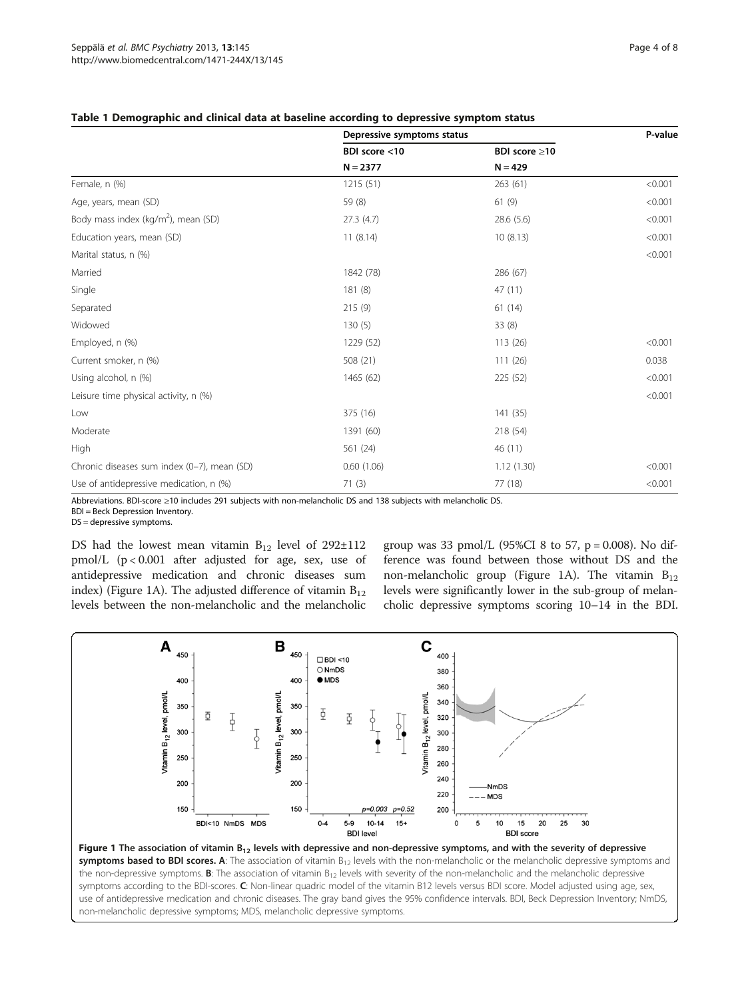|                                                 | Depressive symptoms status  |                            | P-value |
|-------------------------------------------------|-----------------------------|----------------------------|---------|
|                                                 | BDI score <10<br>$N = 2377$ | BDI score ≥10<br>$N = 429$ |         |
|                                                 |                             |                            |         |
| Female, n (%)                                   | 1215(51)                    | 263(61)                    | < 0.001 |
| Age, years, mean (SD)                           | 59 (8)                      | 61(9)                      | < 0.001 |
| Body mass index (kg/m <sup>2</sup> ), mean (SD) | 27.3(4.7)                   | 28.6(5.6)                  | < 0.001 |
| Education years, mean (SD)                      | 11(8.14)                    | 10(8.13)                   | < 0.001 |
| Marital status, n (%)                           |                             |                            | < 0.001 |
| Married                                         | 1842 (78)                   | 286 (67)                   |         |
| Single                                          | 181(8)                      | 47(11)                     |         |
| Separated                                       | 215(9)                      | 61(14)                     |         |
| Widowed                                         | 130(5)                      | 33(8)                      |         |
| Employed, n (%)                                 | 1229 (52)                   | 113 (26)                   | < 0.001 |
| Current smoker, n (%)                           | 508 (21)                    | 111(26)                    | 0.038   |
| Using alcohol, n (%)                            | 1465 (62)                   | 225 (52)                   | < 0.001 |
| Leisure time physical activity, n (%)           |                             |                            | < 0.001 |
| Low                                             | 375 (16)                    | 141 (35)                   |         |
| Moderate                                        | 1391 (60)                   | 218 (54)                   |         |
| High                                            | 561 (24)                    | 46 (11)                    |         |
| Chronic diseases sum index (0-7), mean (SD)     | 0.60(1.06)                  | 1.12(1.30)                 | < 0.001 |
| Use of antidepressive medication, n (%)         | 71(3)                       | 77 (18)                    | < 0.001 |

# <span id="page-3-0"></span>Table 1 Demographic and clinical data at baseline according to depressive symptom status

Abbreviations. BDI-score ≥10 includes 291 subjects with non-melancholic DS and 138 subjects with melancholic DS.

BDI = Beck Depression Inventory.

DS = depressive symptoms.

DS had the lowest mean vitamin  $B_{12}$  level of 292 $\pm$ 112 pmol/L (p < 0.001 after adjusted for age, sex, use of antidepressive medication and chronic diseases sum index) (Figure 1A). The adjusted difference of vitamin  $B_{12}$ levels between the non-melancholic and the melancholic

group was 33 pmol/L (95%CI 8 to 57,  $p = 0.008$ ). No difference was found between those without DS and the non-melancholic group (Figure 1A). The vitamin  $B_{12}$ levels were significantly lower in the sub-group of melancholic depressive symptoms scoring 10–14 in the BDI.



symptoms based to BDI scores. A: The association of vitamin  $B_{12}$  levels with the non-melancholic or the melancholic depressive symptoms and the non-depressive symptoms. **B**: The association of vitamin  $B_{12}$  levels with severity of the non-melancholic and the melancholic depressive symptoms according to the BDI-scores. C: Non-linear quadric model of the vitamin B12 levels versus BDI score. Model adjusted using age, sex, use of antidepressive medication and chronic diseases. The gray band gives the 95% confidence intervals. BDI, Beck Depression Inventory; NmDS, non-melancholic depressive symptoms; MDS, melancholic depressive symptoms.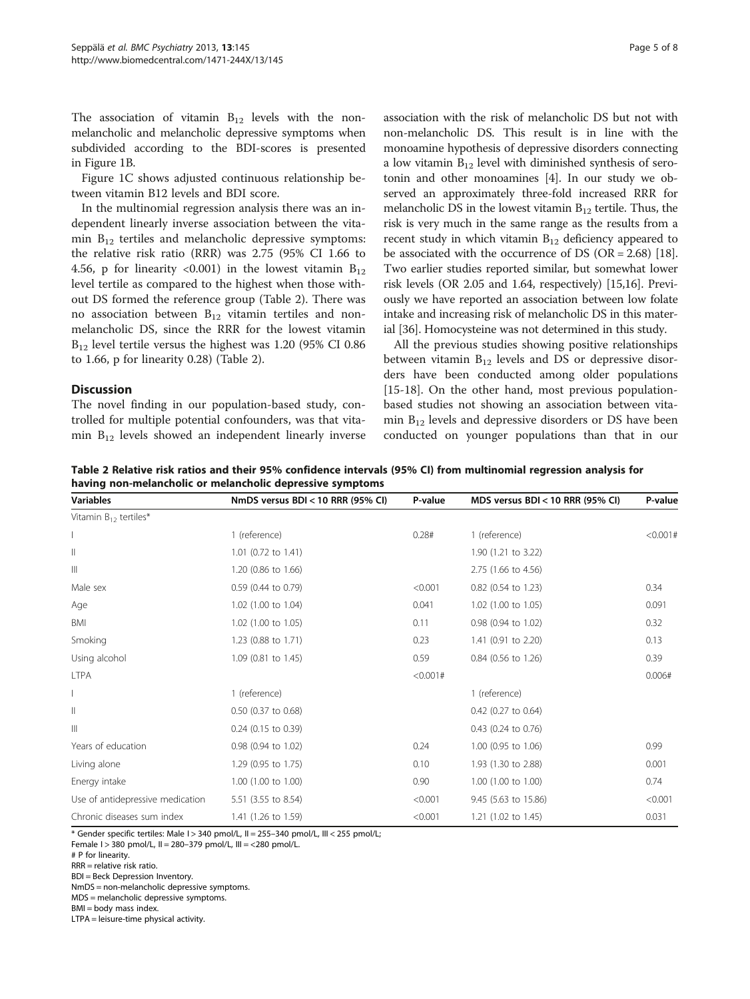The association of vitamin  $B_{12}$  levels with the nonmelancholic and melancholic depressive symptoms when subdivided according to the BDI-scores is presented in Figure [1B](#page-3-0).

Figure [1](#page-3-0)C shows adjusted continuous relationship between vitamin B12 levels and BDI score.

In the multinomial regression analysis there was an independent linearly inverse association between the vitamin  $B_{12}$  tertiles and melancholic depressive symptoms: the relative risk ratio (RRR) was 2.75 (95% CI 1.66 to 4.56, p for linearity <0.001) in the lowest vitamin  $B_{12}$ level tertile as compared to the highest when those without DS formed the reference group (Table 2). There was no association between  $B_{12}$  vitamin tertiles and nonmelancholic DS, since the RRR for the lowest vitamin  $B_{12}$  level tertile versus the highest was 1.20 (95% CI 0.86) to 1.66, p for linearity 0.28) (Table 2).

# **Discussion**

The novel finding in our population-based study, controlled for multiple potential confounders, was that vitamin  $B_{12}$  levels showed an independent linearly inverse association with the risk of melancholic DS but not with non-melancholic DS. This result is in line with the monoamine hypothesis of depressive disorders connecting a low vitamin  $B_{12}$  level with diminished synthesis of serotonin and other monoamines [\[4\]](#page-6-0). In our study we observed an approximately three-fold increased RRR for melancholic DS in the lowest vitamin  $B_{12}$  tertile. Thus, the risk is very much in the same range as the results from a recent study in which vitamin  $B_{12}$  deficiency appeared to be associated with the occurrence of DS (OR =  $2.68$ ) [[18](#page-6-0)]. Two earlier studies reported similar, but somewhat lower risk levels (OR 2.05 and 1.64, respectively) [[15,16](#page-6-0)]. Previously we have reported an association between low folate intake and increasing risk of melancholic DS in this material [[36](#page-7-0)]. Homocysteine was not determined in this study.

All the previous studies showing positive relationships between vitamin  $B_{12}$  levels and DS or depressive disorders have been conducted among older populations [[15-18](#page-6-0)]. On the other hand, most previous populationbased studies not showing an association between vitamin  $B_{12}$  levels and depressive disorders or DS have been conducted on younger populations than that in our

Table 2 Relative risk ratios and their 95% confidence intervals (95% CI) from multinomial regression analysis for having non-melancholic or melancholic depressive symptoms

| <b>Variables</b>                 | NmDS versus BDI < 10 RRR (95% CI) | P-value | MDS versus BDI < 10 RRR (95% CI) | P-value  |
|----------------------------------|-----------------------------------|---------|----------------------------------|----------|
| Vitamin $B_{12}$ tertiles*       |                                   |         |                                  |          |
|                                  | 1 (reference)                     | 0.28#   | 1 (reference)                    | < 0.001# |
| Ш                                | 1.01 (0.72 to 1.41)               |         | 1.90 (1.21 to 3.22)              |          |
| $\mathbb{H}$                     | 1.20 (0.86 to 1.66)               |         | 2.75 (1.66 to 4.56)              |          |
| Male sex                         | 0.59 (0.44 to 0.79)               | < 0.001 | 0.82 (0.54 to 1.23)              | 0.34     |
| Age                              | 1.02 (1.00 to 1.04)               | 0.041   | 1.02 (1.00 to 1.05)              | 0.091    |
| BMI                              | 1.02 (1.00 to 1.05)               | 0.11    | 0.98 (0.94 to 1.02)              | 0.32     |
| Smoking                          | 1.23 (0.88 to 1.71)               | 0.23    | 1.41 (0.91 to 2.20)              | 0.13     |
| Using alcohol                    | 1.09 (0.81 to 1.45)               | 0.59    | 0.84 (0.56 to 1.26)              | 0.39     |
| <b>LTPA</b>                      |                                   | <0.001# |                                  | 0.006#   |
|                                  | 1 (reference)                     |         | 1 (reference)                    |          |
| Ш                                | 0.50 (0.37 to 0.68)               |         | 0.42 (0.27 to 0.64)              |          |
| Ш                                | $0.24$ (0.15 to 0.39)             |         | 0.43 (0.24 to 0.76)              |          |
| Years of education               | 0.98 (0.94 to 1.02)               | 0.24    | 1.00 (0.95 to 1.06)              | 0.99     |
| Living alone                     | 1.29 (0.95 to 1.75)               | 0.10    | 1.93 (1.30 to 2.88)              | 0.001    |
| Energy intake                    | 1.00 (1.00 to 1.00)               | 0.90    | 1.00 (1.00 to 1.00)              | 0.74     |
| Use of antidepressive medication | 5.51 (3.55 to 8.54)               | < 0.001 | 9.45 (5.63 to 15.86)             | < 0.001  |
| Chronic diseases sum index       | 1.41 (1.26 to 1.59)               | < 0.001 | 1.21 (1.02 to 1.45)              | 0.031    |

\* Gender specific tertiles: Male  $1 > 340$  pmol/L,  $II = 255-340$  pmol/L,  $III < 255$  pmol/L;

Female I > 380 pmol/L, II = 280–379 pmol/L, III = <280 pmol/L.

BDI = Beck Depression Inventory.

NmDS = non-melancholic depressive symptoms. MDS = melancholic depressive symptoms.

BMI = body mass index.

LTPA = leisure-time physical activity.

<sup>#</sup> P for linearity.

RRR = relative risk ratio.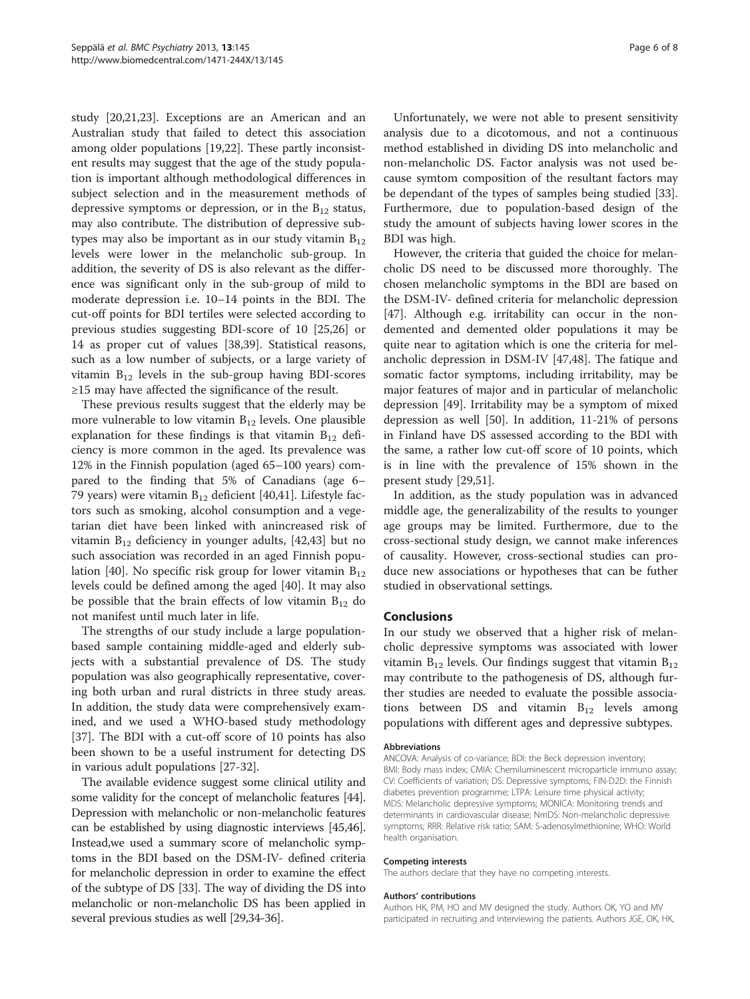study [\[20,21,23\]](#page-6-0). Exceptions are an American and an Australian study that failed to detect this association among older populations [\[19,22](#page-6-0)]. These partly inconsistent results may suggest that the age of the study population is important although methodological differences in subject selection and in the measurement methods of depressive symptoms or depression, or in the  $B_{12}$  status, may also contribute. The distribution of depressive subtypes may also be important as in our study vitamin  $B_{12}$ levels were lower in the melancholic sub-group. In addition, the severity of DS is also relevant as the difference was significant only in the sub-group of mild to moderate depression i.e. 10–14 points in the BDI. The cut-off points for BDI tertiles were selected according to previous studies suggesting BDI-score of 10 [\[25,26\]](#page-6-0) or 14 as proper cut of values [\[38,39](#page-7-0)]. Statistical reasons, such as a low number of subjects, or a large variety of vitamin  $B_{12}$  levels in the sub-group having BDI-scores ≥15 may have affected the significance of the result.

These previous results suggest that the elderly may be more vulnerable to low vitamin  $B_{12}$  levels. One plausible explanation for these findings is that vitamin  $B_{12}$  deficiency is more common in the aged. Its prevalence was 12% in the Finnish population (aged 65–100 years) compared to the finding that 5% of Canadians (age 6– 79 years) were vitamin  $B_{12}$  deficient [[40,41\]](#page-7-0). Lifestyle factors such as smoking, alcohol consumption and a vegetarian diet have been linked with anincreased risk of vitamin  $B_{12}$  deficiency in younger adults, [\[42,43\]](#page-7-0) but no such association was recorded in an aged Finnish popu-lation [[40](#page-7-0)]. No specific risk group for lower vitamin  $B_{12}$ levels could be defined among the aged [\[40](#page-7-0)]. It may also be possible that the brain effects of low vitamin  $B_{12}$  do not manifest until much later in life.

The strengths of our study include a large populationbased sample containing middle-aged and elderly subjects with a substantial prevalence of DS. The study population was also geographically representative, covering both urban and rural districts in three study areas. In addition, the study data were comprehensively examined, and we used a WHO-based study methodology [[37\]](#page-7-0). The BDI with a cut-off score of 10 points has also been shown to be a useful instrument for detecting DS in various adult populations [\[27](#page-6-0)-[32\]](#page-7-0).

The available evidence suggest some clinical utility and some validity for the concept of melancholic features [[44](#page-7-0)]. Depression with melancholic or non-melancholic features can be established by using diagnostic interviews [\[45,46](#page-7-0)]. Instead,we used a summary score of melancholic symptoms in the BDI based on the DSM-IV- defined criteria for melancholic depression in order to examine the effect of the subtype of DS [[33](#page-7-0)]. The way of dividing the DS into melancholic or non-melancholic DS has been applied in several previous studies as well [[29](#page-6-0)[,34-36\]](#page-7-0).

Unfortunately, we were not able to present sensitivity analysis due to a dicotomous, and not a continuous method established in dividing DS into melancholic and non-melancholic DS. Factor analysis was not used because symtom composition of the resultant factors may be dependant of the types of samples being studied [\[33](#page-7-0)]. Furthermore, due to population-based design of the study the amount of subjects having lower scores in the BDI was high.

However, the criteria that guided the choice for melancholic DS need to be discussed more thoroughly. The chosen melancholic symptoms in the BDI are based on the DSM-IV- defined criteria for melancholic depression [[47\]](#page-7-0). Although e.g. irritability can occur in the nondemented and demented older populations it may be quite near to agitation which is one the criteria for melancholic depression in DSM-IV [\[47,48\]](#page-7-0). The fatique and somatic factor symptoms, including irritability, may be major features of major and in particular of melancholic depression [\[49\]](#page-7-0). Irritability may be a symptom of mixed depression as well [[50](#page-7-0)]. In addition, 11-21% of persons in Finland have DS assessed according to the BDI with the same, a rather low cut-off score of 10 points, which is in line with the prevalence of 15% shown in the present study [[29,](#page-6-0)[51\]](#page-7-0).

In addition, as the study population was in advanced middle age, the generalizability of the results to younger age groups may be limited. Furthermore, due to the cross-sectional study design, we cannot make inferences of causality. However, cross-sectional studies can produce new associations or hypotheses that can be futher studied in observational settings.

# Conclusions

In our study we observed that a higher risk of melancholic depressive symptoms was associated with lower vitamin  $B_{12}$  levels. Our findings suggest that vitamin  $B_{12}$ may contribute to the pathogenesis of DS, although further studies are needed to evaluate the possible associations between DS and vitamin  $B_{12}$  levels among populations with different ages and depressive subtypes.

#### Abbreviations

ANCOVA: Analysis of co-variance; BDI: the Beck depression inventory; BMI: Body mass index; CMIA: Chemiluminescent microparticle immuno assay; CV: Coefficients of variation; DS: Depressive symptoms; FIN-D2D: the Finnish diabetes prevention programme; LTPA: Leisure time physical activity; MDS: Melancholic depressive symptoms; MONICA: Monitoring trends and determinants in cardiovascular disease; NmDS: Non-melancholic depressive symptoms; RRR: Relative risk ratio; SAM: S-adenosylmethionine; WHO: World health organisation.

#### Competing interests

The authors declare that they have no competing interests.

#### Authors' contributions

Authors HK, PM, HO and MV designed the study. Authors OK, YO and MV participated in recruiting and interviewing the patients. Authors JGE, OK, HK,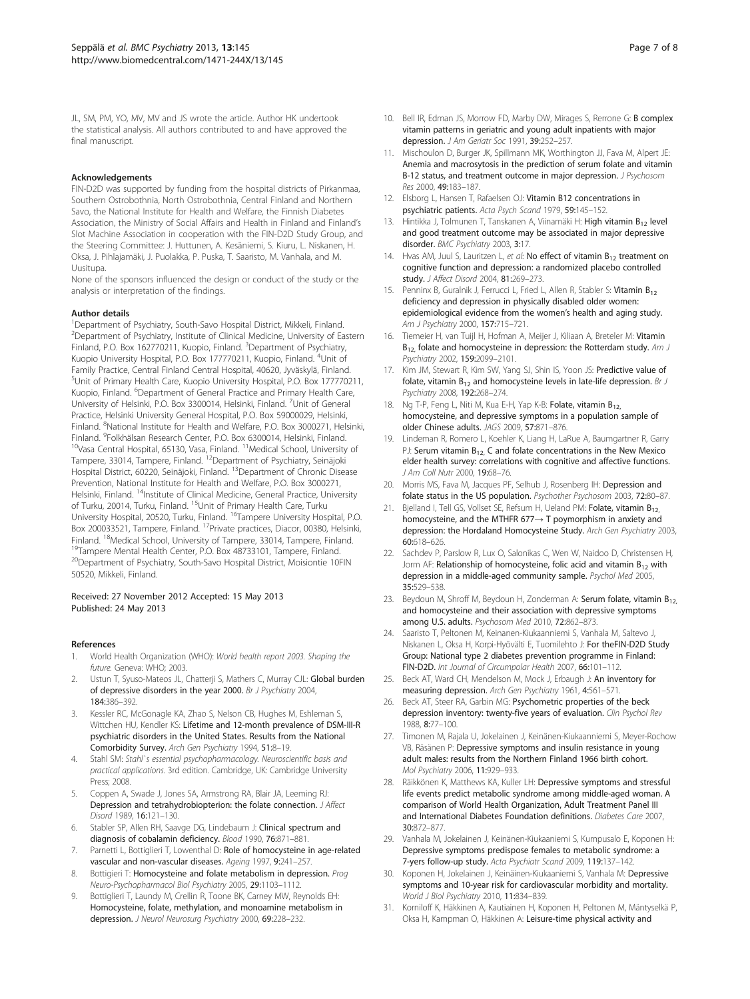<span id="page-6-0"></span>JL, SM, PM, YO, MV, MV and JS wrote the article. Author HK undertook the statistical analysis. All authors contributed to and have approved the final manuscript.

#### Acknowledgements

FIN-D2D was supported by funding from the hospital districts of Pirkanmaa, Southern Ostrobothnia, North Ostrobothnia, Central Finland and Northern Savo, the National Institute for Health and Welfare, the Finnish Diabetes Association, the Ministry of Social Affairs and Health in Finland and Finland's Slot Machine Association in cooperation with the FIN-D2D Study Group, and the Steering Committee: J. Huttunen, A. Kesäniemi, S. Kiuru, L. Niskanen, H. Oksa, J. Pihlajamäki, J. Puolakka, P. Puska, T. Saaristo, M. Vanhala, and M. Uusitupa.

None of the sponsors influenced the design or conduct of the study or the analysis or interpretation of the findings.

#### Author details

<sup>1</sup>Department of Psychiatry, South-Savo Hospital District, Mikkeli, Finland. <sup>2</sup>Department of Psychiatry, Institute of Clinical Medicine, University of Eastern Finland, P.O. Box 162770211, Kuopio, Finland. <sup>3</sup>Department of Psychiatry, Kuopio University Hospital, P.O. Box 177770211, Kuopio, Finland. <sup>4</sup>Unit of Family Practice, Central Finland Central Hospital, 40620, Jyväskylä, Finland. 5 Unit of Primary Health Care, Kuopio University Hospital, P.O. Box 177770211, Kuopio, Finland. <sup>6</sup>Department of General Practice and Primary Health Care, University of Helsinki, P.O. Box 3300014, Helsinki, Finland. <sup>7</sup>Unit of General Practice, Helsinki University General Hospital, P.O. Box 59000029, Helsinki, Finland. <sup>8</sup>National Institute for Health and Welfare, P.O. Box 3000271, Helsinki, Finland. <sup>9</sup>Folkhälsan Research Center, P.O. Box 6300014, Helsinki, Finland.  $10$ Vasa Central Hospital, 65130, Vasa, Finland.  $11$ Medical School, University of Tampere, 33014, Tampere, Finland. 12Department of Psychiatry, Seinäjoki Hospital District, 60220, Seinäjoki, Finland. 13Department of Chronic Disease Prevention, National Institute for Health and Welfare, P.O. Box 3000271, Helsinki, Finland. <sup>14</sup>Institute of Clinical Medicine, General Practice, University of Turku, 20014, Turku, Finland. <sup>15</sup>Unit of Primary Health Care, Turku University Hospital, 20520, Turku, Finland. 16Tampere University Hospital, P.O. Box 200033521, Tampere, Finland. <sup>17</sup>Private practices, Diacor, 00380, Helsinki, Finland. <sup>18</sup>Medical School, University of Tampere, *S3014, Tampere, Finland.* <sup>19</sup>Tampere Mental Health Center, P.O. Box 48733101, Tampere, Finland. <sup>20</sup>Department of Psychiatry, South-Savo Hospital District, Moisiontie 10FIN 50520, Mikkeli, Finland.

#### Received: 27 November 2012 Accepted: 15 May 2013 Published: 24 May 2013

#### References

- 1. World Health Organization (WHO): World health report 2003. Shaping the future. Geneva: WHO; 2003.
- Ustun T, Syuso-Mateos JL, Chatterji S, Mathers C, Murray CJL: Global burden of depressive disorders in the year 2000. Br J Psychiatry 2004, 184:386–392.
- 3. Kessler RC, McGonagle KA, Zhao S, Nelson CB, Hughes M, Eshleman S, Wittchen HU, Kendler KS: Lifetime and 12-month prevalence of DSM-III-R psychiatric disorders in the United States. Results from the National Comorbidity Survey. Arch Gen Psychiatry 1994, 51:8–19.
- 4. Stahl SM: Stahl`s essential psychopharmacology. Neuroscientific basis and practical applications. 3rd edition. Cambridge, UK: Cambridge University Press; 2008.
- 5. Coppen A, Swade J, Jones SA, Armstrong RA, Blair JA, Leeming RJ: Depression and tetrahydrobiopterion: the folate connection. J Affect Disord 1989, 16:121–130.
- 6. Stabler SP, Allen RH, Saavge DG, Lindebaum J: Clinical spectrum and diagnosis of cobalamin deficiency. Blood 1990, 76:871–881.
- 7. Parnetti L, Bottiglieri T, Lowenthal D: Role of homocysteine in age-related vascular and non-vascular diseases. Ageing 1997, 9:241–257.
- 8. Bottigieri T: Homocysteine and folate metabolism in depression. Prog Neuro-Psychopharmacol Biol Psychiatry 2005, 29:1103–1112.
- 9. Bottiglieri T, Laundy M, Crellin R, Toone BK, Carney MW, Reynolds EH: Homocysteine, folate, methylation, and monoamine metabolism in depression. J Neurol Neurosurg Psychiatry 2000, 69:228-232.
- 10. Bell IR, Edman JS, Morrow FD, Marby DW, Mirages S, Rerrone G: B complex vitamin patterns in geriatric and young adult inpatients with major depression. J Am Geriatr Soc 1991, 39:252–257.
- 11. Mischoulon D, Burger JK, Spillmann MK, Worthington JJ, Fava M, Alpert JE: Anemia and macrosytosis in the prediction of serum folate and vitamin B-12 status, and treatment outcome in major depression. J Psychosom Res 2000, 49:183–187.
- 12. Elsborg L, Hansen T, Rafaelsen OJ: Vitamin B12 concentrations in psychiatric patients. Acta Psych Scand 1979, 59:145–152.
- 13. Hintikka J, Tolmunen T, Tanskanen A, Viinamäki H: High vitamin B<sub>12</sub> level and good treatment outcome may be associated in major depressive disorder. BMC Psychiatry 2003, 3:17.
- 14. Hvas AM, Juul S, Lauritzen L, et al: No effect of vitamin  $B_{12}$  treatment on cognitive function and depression: a randomized placebo controlled study. J Affect Disord 2004, 81:269-273.
- 15. Penninx B, Guralnik J, Ferrucci L, Fried L, Allen R, Stabler S: Vitamin  $B_{12}$ deficiency and depression in physically disabled older women: epidemiological evidence from the women's health and aging study. Am J Psychiatry 2000, 157:715–721.
- 16. Tiemeier H, van Tuijl H, Hofman A, Meijer J, Kiliaan A, Breteler M: Vitamin  $B_{12}$ , folate and homocysteine in depression: the Rotterdam study. Am J Psychiatry 2002, 159:2099–2101.
- 17. Kim JM, Stewart R, Kim SW, Yang SJ, Shin IS, Yoon JS: Predictive value of folate, vitamin  $B_{12}$  and homocysteine levels in late-life depression. Br J Psychiatry 2008, 192:268–274.
- 18. Ng T-P, Feng L, Niti M, Kua E-H, Yap K-B: Folate, vitamin B<sub>12.</sub> homocysteine, and depressive symptoms in a population sample of older Chinese adults. JAGS 2009, 57:871–876.
- 19. Lindeman R, Romero L, Koehler K, Liang H, LaRue A, Baumgartner R, Garry PJ: Serum vitamin  $B_{12}$ , C and folate concentrations in the New Mexico elder health survey: correlations with cognitive and affective functions. J Am Coll Nutr 2000, 19:68–76.
- 20. Morris MS, Fava M, Jacques PF, Selhub J, Rosenberg IH: Depression and folate status in the US population. Psychother Psychosom 2003, 72:80–87.
- 21. Bjelland I, Tell GS, Vollset SE, Refsum H, Ueland PM: Folate, vitamin B<sub>12.</sub> homocysteine, and the MTHFR 677→ T poymorphism in anxiety and depression: the Hordaland Homocysteine Study. Arch Gen Psychiatry 2003, 60:618–626.
- 22. Sachdev P, Parslow R, Lux O, Salonikas C, Wen W, Naidoo D, Christensen H, Jorm AF: Relationship of homocysteine, folic acid and vitamin  $B_{12}$  with depression in a middle-aged community sample. Psychol Med 2005, 35:529–538.
- 23. Beydoun M, Shroff M, Beydoun H, Zonderman A: Serum folate, vitamin  $B_{12}$ and homocysteine and their association with depressive symptoms among U.S. adults. Psychosom Med 2010, 72:862–873.
- 24. Saaristo T, Peltonen M, Keinanen-Kiukaanniemi S, Vanhala M, Saltevo J, Niskanen L, Oksa H, Korpi-Hyövälti E, Tuomilehto J: For theFIN-D2D Study Group: National type 2 diabetes prevention programme in Finland: FIN-D2D. Int Journal of Circumpolar Health 2007, 66:101–112.
- 25. Beck AT, Ward CH, Mendelson M, Mock J, Erbaugh J: An inventory for measuring depression. Arch Gen Psychiatry 1961, 4:561–571.
- 26. Beck AT, Steer RA, Garbin MG: Psychometric properties of the beck depression inventory: twenty-five years of evaluation. Clin Psychol Rev 1988, 8:77–100.
- 27. Timonen M, Rajala U, Jokelainen J, Keinänen-Kiukaanniemi S, Meyer-Rochow VB, Räsänen P: Depressive symptoms and insulin resistance in young adult males: results from the Northern Finland 1966 birth cohort. Mol Psychiatry 2006, 11:929–933.
- 28. Räikkönen K, Matthews KA, Kuller LH: Depressive symptoms and stressful life events predict metabolic syndrome among middle-aged woman. A comparison of World Health Organization, Adult Treatment Panel III and International Diabetes Foundation definitions. Diabetes Care 2007, 30:872–877.
- 29. Vanhala M, Jokelainen J, Keinänen-Kiukaaniemi S, Kumpusalo E, Koponen H: Depressive symptoms predispose females to metabolic syndrome: a 7-yers follow-up study. Acta Psychiatr Scand 2009, 119:137–142.
- 30. Koponen H, Jokelainen J, Keinäinen-Kiukaaniemi S, Vanhala M: Depressive symptoms and 10-year risk for cardiovascular morbidity and mortality. World J Biol Psychiatry 2010, 11:834–839.
- 31. Korniloff K, Häkkinen A, Kautiainen H, Koponen H, Peltonen M, Mäntyselkä P, Oksa H, Kampman O, Häkkinen A: Leisure-time physical activity and